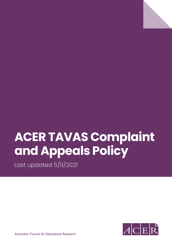

Last updated 5/11/2021



Australian Council *for* Educational Research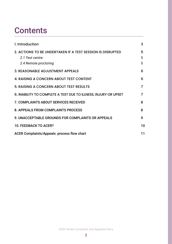# **Contents**

| 1. Introduction                                                                                         | 3           |
|---------------------------------------------------------------------------------------------------------|-------------|
| 2. ACTIONS TO BE UNDERTAKEN IF A TEST SESSION IS DISRUPTED<br>2.1 Test centre:<br>2.4 Remote proctoring | 5<br>5<br>5 |
| 3. REASONABLE ADJUSTMENT APPEALS                                                                        | 6           |
| 4. RAISING A CONCERN ABOUT TEST CONTENT                                                                 | 6           |
| 5. RAISING A CONCERN ABOUT TEST RESULTS                                                                 | 7           |
| 6. INABILITY TO COMPLETE A TEST DUE TO ILLNESS, INJURY OR UPSET                                         | 7           |
| 7. COMPLAINTS ABOUT SERVICES RECEIVED                                                                   | 8           |
| 8. APPEALS FROM COMPLAINTS PROCESS                                                                      | 8           |
| 9. UNACCEPTABLE GROUNDS FOR COMPLAINTS OR APPEALS                                                       | 9           |
| <b>10. FEEDBACK TO ACER?</b>                                                                            | 10          |
| <b>ACER Complaints/Appeals: process flow chart</b>                                                      | 11          |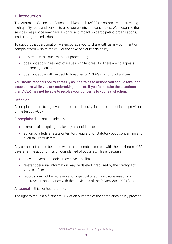#### <span id="page-2-0"></span>1. Introduction

The Australian Council for Educational Research (ACER) is committed to providing high quality tests and service to all of our clients and candidates. We recognise the services we provide may have a significant impact on participating organisations, institutions, and individuals.

To support that participation, we encourage you to share with us any comment or complaint you wish to make. For the sake of clarity, this policy:

- only relates to issues with test procedures; and
- does not apply in respect of issues with test results. There are no appeals concerning results;
- does not apply with respect to breaches of ACER's misconduct policies.

You should read this policy carefully as it pertains to actions you should take if an issue arises while you are undertaking the test. If you fail to take those actions, then ACER may not be able to resolve your concerns to your satisfaction.

#### **Definition**

A complaint refers to a grievance, problem, difficulty, failure, or defect in the provision of the test by ACER.

A complaint does not include any:

- exercise of a legal right taken by a candidate; or
- action by a federal, state or territory regulator or statutory body concerning any such failure or defect.

Any complaint should be made within a reasonable time but with the maximum of 30 days after the act or omission complained of occurred. This is because:

- relevant oversight bodies may have time limits;
- relevant personal information may be deleted if required by the *Privacy Act 1988* (Cth); or
- records may not be retrievable for logistical or administrative reasons or destroyed in accordance with the provisions of the *Privacy Act 1988* (Cth).

An appeal in this context refers to:

The right to request a further review of an outcome of the complaints policy process.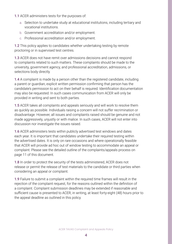- 1.1 ACER administers tests for the purposes of:
	- a. Selection to undertake study at educational institutions, including tertiary and vocational institutions.
	- b. Government accreditation and/or employment.
	- c. Professional accreditation and/or employment.

**1.2** This policy applies to candidates whether undertaking testing by remote proctoring or in supervised test centres.

1.3 ACER does not have remit over admissions decisions and cannot respond to complaints related to such matters. These complaints should be made to the university, government agency, and professional accreditation, admissions, or selections body directly.

1.4 A complaint is made by a person other than the registered candidate, including a parent or guardian, explicit written permission confirming that person has the candidate's permission to act on their behalf is required. Identification documentation may also be requested. In such cases communication from ACER will only be provided in writing and sent to both parties.

1.5 ACER takes all complaints and appeals seriously and will work to resolve them as quickly as possible. Individuals raising a concern will not suffer recrimination or disadvantage. However, all issues and complaints raised should be genuine and not made aggressively, unjustly or with malice. In such cases, ACER will not enter into discussion nor investigate the issues raised.

1.6 ACER administers tests within publicly advertised test windows and dates each year. It is important that candidates undertake their required testing within the advertised dates. It is only on rare occasions and where operationally feasible that ACER will provide ad hoc out of window testing to accommodate an appeal or complaint. Please see the detailed outline of the complaints/appeals process on page 11 of this document.

1.8 In order to protect the security of the tests administered, ACER does not release or permit the release of test materials to the candidate or third parties when considering an appeal or complaint.

1.9 Failure to submit a complaint within the required time frames will result in the rejection of the complaint request, for the reasons outlined within the definition of a complaint. Complaint submission deadlines may be extended if reasonable and sufficient cause is presented to ACER, in writing, at least forty-eight (48) hours prior to the appeal deadline as outlined in this policy.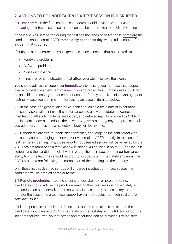#### <span id="page-4-0"></span>2. ACTIONS TO BE UNDERTAKEN IF A TEST SESSION IS DISRUPTED

2.1 Test centre: In the first instance candidates should advise the supervisor managing their test session so that action can be undertaken to resolve the issue.

If the issue was unresolved during the test session, then once testing is **complete** the candidate should email ACER immediately on the test day, with a full account of the incident that occurred.

If sitting in a test centre and you experience issues such as (but not limited to):

- Hardware problems.
- Software problems.
- Noise disturbance.
- Illness; or other distractions that affect your ability to take the exam.

You should advise the supervisor *immediately* by raising your hand so that support can be provided in an efficient manner. If you do not do this, in most cases it will not be possible to resolve your concerns or account for any perceived disadvantage post testing. Please see the time limit for raising an issue in item 2.5 below.

2.2 In the case of a general disruptive incident such as a fire alarm or evacuation, the supervisors will minimise the disturbance and allow candidates to complete their testing. All such incidents are logged, and detailed reports provided to ACER. If the incident is deemed serious, the university, government agency, and professional accreditation, admissions or selections body will be notified.

2.3 Candidates are free to report any anomalies, and lodge an incident report with the supervisors managing their centre, or via email to ACER directly. In the case of test centre incident reports, those reports not deemed serious will be reviewed by the ACER project team once a test window is closed. As advised in point 2.1 if an issue is serious and the candidate feels it will have significant impact on their performance or ability to sit the test, they should report it to a supervisor *immediately* and email the ACER project team following the completion of their testing, on the test day.

Only those issues deemed serious will undergo investigation, in such cases the candidate will be notified of the outcome.

2.4 Remote proctoring: If testing is being undertaken by remote proctoring, candidates should advise the proctor managing their test session immediately so that action can be undertaken to resolve any issues. It may be necessary to transfer the session to a technical support expert to troubleshoot technical and/or software issues.

If it is not possible to resolve the issue, then once the session is terminated the candidate should email ACER immediately on the test day, with a full account of the incident that occurred, so that advice and resolution can be provided. For logistical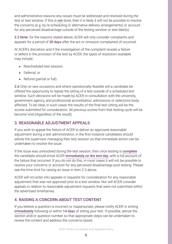<span id="page-5-0"></span>and administrative reasons any issues must be addressed and resolved during the test or test window. If this is not done, then it is likely it will not be possible to resolve the concerns (e.g. by re-scheduling or alternative delivery arrangements) or account for any perceived disadvantage outside of the testing window or test date(s).

2.5 Note: for the reasons stated above, ACER will only consider complaints and appeals for a period of 30 days after the act or omission complained of occurred.

At ACER's discretion and if the investigation of the complaint reveals a failure or defect in the provision of the test by ACER, the types of resolution available may include:

- Rescheduled test session;
- Deferral; or
- Refund (partial or full).

2.6 Only on rare occasions and where operationally feasible will a candidate be offered the opportunity to repeat the sitting of a test outside of a scheduled test window. Such decisions will be made by ACER in consultation with the university, government agency, and professional accreditation, admissions or selections body affected. To be clear, in such cases the results of the final test sitting will be the scores submitted for consideration. All previous scores from that testing cycle will be become void (regardless of the result).

### 3. REASONABLE ADJUSTMENT APPEALS

If you wish to appeal the failure of ACER to deliver an approved reasonable adjustment during a test administration, in the first instance candidates should advise the supervisor managing their test session so that immediate action can be undertaken to resolve the issue.

If the issue was unresolved during the test session, then once testing is **complete** the candidate should email ACER immediately on the test day, with a full account of the failure that occurred. If you do not do this, in most cases it will not be possible to resolve your concerns or account for any perceived disadvantage post testing. Please see the time limit for raising an issue in item 2.5 above.

ACER will not enter into appeals or requests for consideration for any reasonable adjustment that was not approved prior to a test window. Nor will ACER consider appeals in relation to reasonable adjustment requests that were not submitted within the advertised timeframes.

## 4. RAISING A CONCERN ABOUT TEST CONTENT

If you believe a question is incorrect or inappropriate, please notify ACER in writing immediately following or within 14 days of sitting your test. If possible, advise the section and/or question number so that appropriate steps can be undertaken to review the content and address the concerns raised.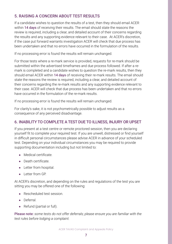## <span id="page-6-0"></span>5. RAISING A CONCERN ABOUT TEST RESULTS

If a candidate wishes to question the results of a test, then they should email ACER within 14 days of receiving their results. The email should state the reasons the review is required, including a clear, and detailed account of their concerns regarding the results and any supporting evidence relevant to their case. At ACER's discretion, if the case put forward warrants investigation ACER will check that due process has been undertaken and that no errors have occurred in the formulation of the results.

If no processing error is found the results will remain unchanged.

For those tests where a re-mark service is provided, requests for re-mark should be submitted within the advertised timeframes and due process followed. If after a remark is completed and a candidate wishes to question the re-mark results, then they should email ACER within 14 days of receiving their re-mark results. The email should state the reasons the review is required, including a clear, and detailed account of their concerns regarding the re-mark results and any supporting evidence relevant to their case. ACER will check that due process has been undertaken and that no errors have occurred in the formulation of the re-mark results.

If no processing error is found the results will remain unchanged.

For clarity's sake, it is not psychometrically possible to adjust results as a consequence of any perceived disadvantage.

### 6. INABILITY TO COMPLETE A TEST DUE TO ILLNESS, INJURY OR UPSET

If you present at a test centre or remote proctored session, then you are declaring yourself fit to complete your required test. If you are unwell, distressed or find yourself in difficult personal circumstances please advise ACER in advance of your scheduled test. Depending on your individual circumstances you may be required to provide supporting documentation including but not limited to:

- Medical certificate.
- Death certificate.
- Letter from hospital.
- Letter from GP.

At ACER's discretion, and depending on the rules and regulations of the test you are sitting you may be offered one of the following:

- Rescheduled test session
- Deferral.
- Refund (partial or full).

Please note: *some tests do not offer deferrals; please ensure you are familiar with the test rules before lodging a complaint.*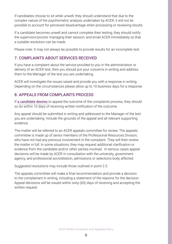<span id="page-7-0"></span>If candidates choose to sit while unwell, they should understand that due to the complex nature of the psychometric analysis undertaken by ACER, it will not be possible to account for perceived disadvantage when processing or reviewing results.

If a candidate becomes unwell and cannot complete their testing, they should notify the supervisor/proctor managing their session, and email ACER immediately so that a suitable resolution can be made.

Please note: It may not always be possible to provide results for an incomplete test.

## 7. COMPLAINTS ABOUT SERVICES RECEIVED

If you have a complaint about the service provided to you in the administration or delivery of an ACER test, then you should put your concerns in writing and address them to the Manager of the test you are undertaking.

ACER will investigate the issues raised and provide you with a response in writing. Depending on the circumstances please allow up to 10 business days for a response.

### 8. APPEALS FROM COMPLAINTS PROCESS

If a candidate desires to appeal the outcome of the complaints process, they should so do within 10 days of receiving written notification of the outcome.

Any appeal should be submitted in writing and addressed to the Manager of the test you are undertaking. Include the grounds of the appeal and all relevant supporting evidence.

The matter will be referred to an ACER appeals committee for review. The appeals committee is made up of senior members of the Professional Resources Division, who have not had any previous involvement in the complaint. They will then review the matter in full. In some situations, they may request additional clarification or evidence from the candidate and/or other parties involved. In serious cases appeal decisions will be made by ACER in consultation with the university, government agency, and professional accreditation, admissions or selections body affected.

Suggested resolutions may include those outlined in point 2.5.

The appeals committee will make a final recommendation and provide a decision to the complainant in writing, including a statement of the reasons for the decision. Appeal decisions will be issued within sixty (60) days of receiving and accepting the written request.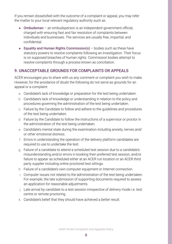<span id="page-8-0"></span>If you remain dissatisfied with the outcome of a complaint or appeal, you may refer the matter to your local relevant regulatory authority such as:

- Ombudsman an ombudsperson is an independent government official, charged with ensuring fast and fair resolution of complaints between individuals and businesses. The services are usually free, impartial, and confidential.
- Equality and Human Rights Commission(s) bodies such as these have statutory powers to resolve complaints following an investigation. Their focus is on supposed breaches of human rights. Commission bodies attempt to resolve complaints through a process known as conciliation.

#### 9. UNACCEPTABLE GROUNDS FOR COMPLAINTS OR APPEALS

ACER encourages you to share with us any comment or complaint you wish to make. However, for the avoidance of doubt the following do not serve as grounds for an appeal or a complaint:

- a. Candidate's lack of knowledge or preparation for the test being undertaken.
- b. Candidate's lack of knowledge or understanding in relation to the policy and procedures governing the administration of the test being undertaken.
- c. Failure by the Candidate to follow and adhere to the guidelines and procedures of the test being undertaken.
- d. Failure by the Candidate to follow the instructions of a supervisor or proctor in the administration of the test being undertaken.
- e. Candidate's mental state during the examination including anxiety, nerves and/ or other emotional distress.
- f. Errors in understanding the operation of the delivery platform candidates are required to use to undertake the test.
- g. Failure of a candidate to attend a scheduled test session due to a candidate's misunderstanding and/or errors in booking their preferred test session, and/or failure to appear as scheduled either at an ACER run location or an ACER third party supplier including online proctored test sittings.
- h. Failure of a candidate's own computer equipment or Internet connection.
- i. Computer issues not related to the administration of the test being undertaken. For example, the late submission of supporting documents required to assess an application for reasonable adjustments.
- j. Late arrival by candidate to a test session irrespective of delivery mode i.e. test centre or remote proctoring.
- k. Candidate's belief that they should have achieved a better result.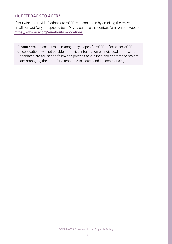#### <span id="page-9-0"></span>10. FEEDBACK TO ACER?

If you wish to provide feedback to ACER, you can do so by emailing the relevant test email contact for your specific test. Or you can use the contact form on our website <https://www.acer.org/au/about-us/locations>

Please note: Unless a test is managed by a specific ACER office, other ACER office locations will not be able to provide information on individual complaints. Candidates are advised to follow the process as outlined and contact the project team managing their test for a response to issues and incidents arising.